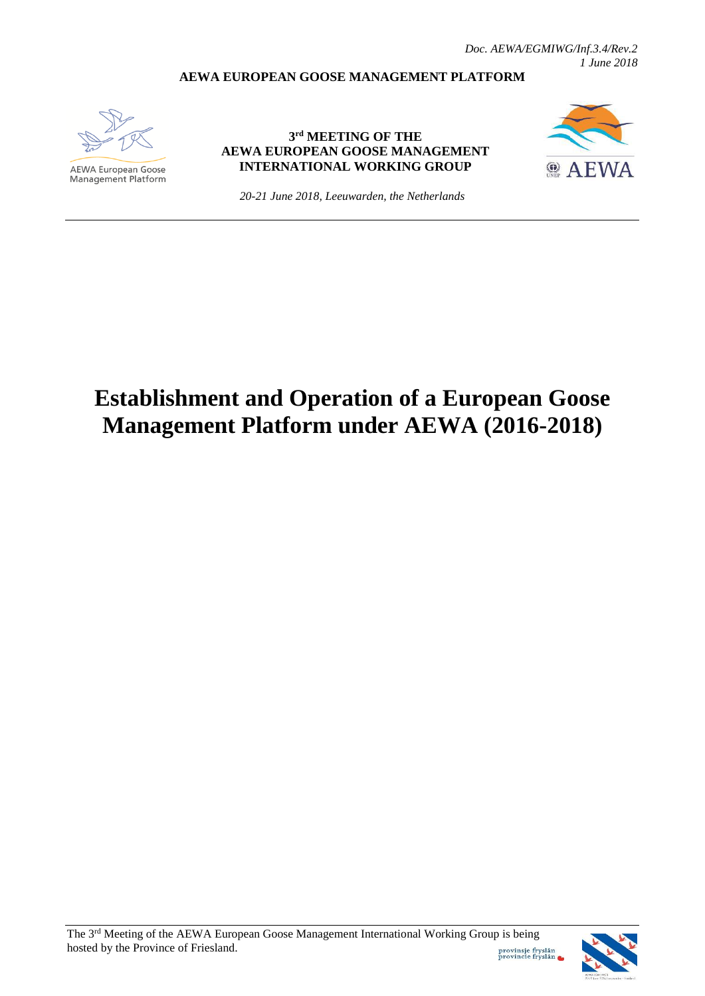*Doc. AEWA/EGMIWG/Inf.3.4/Rev.2 1 June 2018*

#### **AEWA EUROPEAN GOOSE MANAGEMENT PLATFORM**



**AEWA European Goose Management Platform** 

## **3 rd MEETING OF THE AEWA EUROPEAN GOOSE MANAGEMENT INTERNATIONAL WORKING GROUP**



*20-21 June 2018, Leeuwarden, the Netherlands*

# **Establishment and Operation of a European Goose Management Platform under AEWA (2016-2018)**

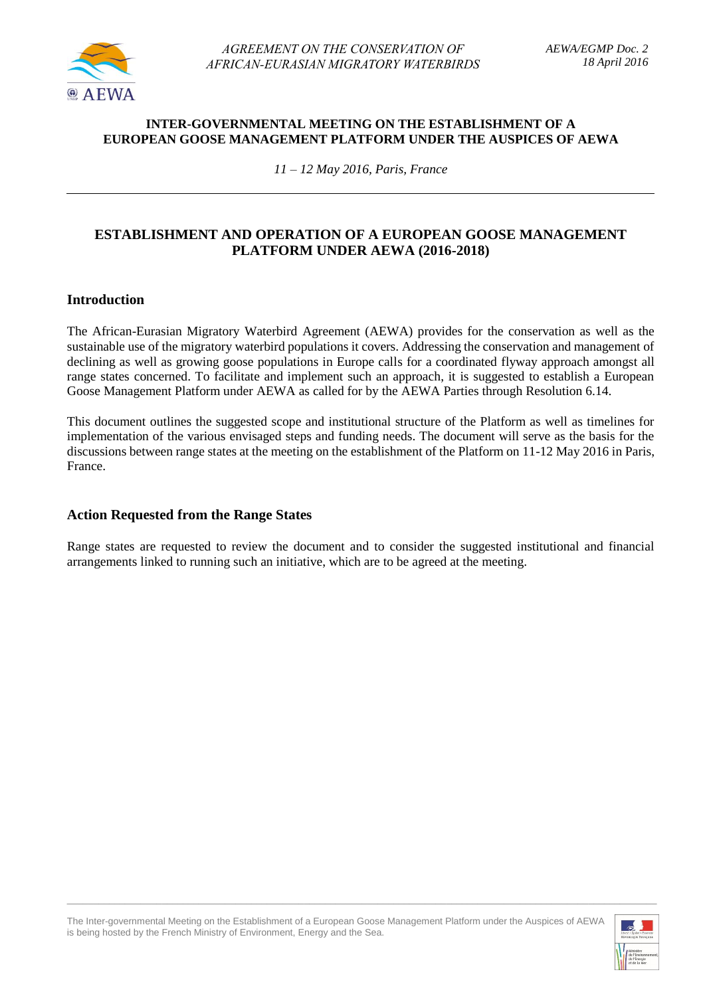

#### **INTER-GOVERNMENTAL MEETING ON THE ESTABLISHMENT OF A EUROPEAN GOOSE MANAGEMENT PLATFORM UNDER THE AUSPICES OF AEWA**

*11 – 12 May 2016, Paris, France*

## **ESTABLISHMENT AND OPERATION OF A EUROPEAN GOOSE MANAGEMENT PLATFORM UNDER AEWA (2016-2018)**

## **Introduction**

The African-Eurasian Migratory Waterbird Agreement (AEWA) provides for the conservation as well as the sustainable use of the migratory waterbird populations it covers. Addressing the conservation and management of declining as well as growing goose populations in Europe calls for a coordinated flyway approach amongst all range states concerned. To facilitate and implement such an approach, it is suggested to establish a European Goose Management Platform under AEWA as called for by the AEWA Parties through Resolution 6.14.

This document outlines the suggested scope and institutional structure of the Platform as well as timelines for implementation of the various envisaged steps and funding needs. The document will serve as the basis for the discussions between range states at the meeting on the establishment of the Platform on 11-12 May 2016 in Paris, France.

#### **Action Requested from the Range States**

Range states are requested to review the document and to consider the suggested institutional and financial arrangements linked to running such an initiative, which are to be agreed at the meeting.

The Inter-governmental Meeting on the Establishment of a European Goose Management Platform under the Auspices of AEWA is being hosted by the French Ministry of Environment, Energy and the Sea.

 $\_$  , and the set of the set of the set of the set of the set of the set of the set of the set of the set of the set of the set of the set of the set of the set of the set of the set of the set of the set of the set of th

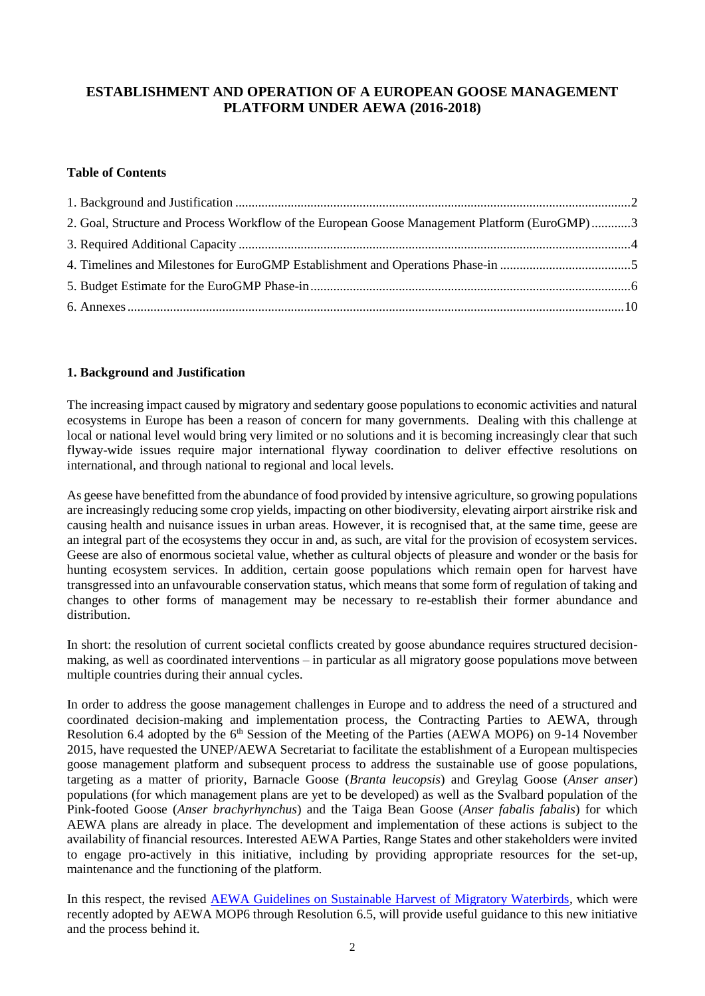## **ESTABLISHMENT AND OPERATION OF A EUROPEAN GOOSE MANAGEMENT PLATFORM UNDER AEWA (2016-2018)**

#### **Table of Contents**

| 2. Goal, Structure and Process Workflow of the European Goose Management Platform (EuroGMP)3 |  |
|----------------------------------------------------------------------------------------------|--|
|                                                                                              |  |
|                                                                                              |  |
|                                                                                              |  |
|                                                                                              |  |

#### <span id="page-2-0"></span>**1. Background and Justification**

The increasing impact caused by migratory and sedentary goose populations to economic activities and natural ecosystems in Europe has been a reason of concern for many governments. Dealing with this challenge at local or national level would bring very limited or no solutions and it is becoming increasingly clear that such flyway-wide issues require major international flyway coordination to deliver effective resolutions on international, and through national to regional and local levels.

As geese have benefitted from the abundance of food provided by intensive agriculture, so growing populations are increasingly reducing some crop yields, impacting on other biodiversity, elevating airport airstrike risk and causing health and nuisance issues in urban areas. However, it is recognised that, at the same time, geese are an integral part of the ecosystems they occur in and, as such, are vital for the provision of ecosystem services. Geese are also of enormous societal value, whether as cultural objects of pleasure and wonder or the basis for hunting ecosystem services. In addition, certain goose populations which remain open for harvest have transgressed into an unfavourable conservation status, which means that some form of regulation of taking and changes to other forms of management may be necessary to re-establish their former abundance and distribution.

In short: the resolution of current societal conflicts created by goose abundance requires structured decisionmaking, as well as coordinated interventions – in particular as all migratory goose populations move between multiple countries during their annual cycles.

In order to address the goose management challenges in Europe and to address the need of a structured and coordinated decision-making and implementation process, the Contracting Parties to AEWA, through Resolution 6.4 adopted by the 6<sup>th</sup> Session of the Meeting of the Parties (AEWA MOP6) on 9-14 November 2015, have requested the UNEP/AEWA Secretariat to facilitate the establishment of a European multispecies goose management platform and subsequent process to address the sustainable use of goose populations, targeting as a matter of priority, Barnacle Goose (*Branta leucopsis*) and Greylag Goose (*Anser anser*) populations (for which management plans are yet to be developed) as well as the Svalbard population of the Pink-footed Goose (*Anser brachyrhynchus*) and the Taiga Bean Goose (*Anser fabalis fabalis*) for which AEWA plans are already in place. The development and implementation of these actions is subject to the availability of financial resources. Interested AEWA Parties, Range States and other stakeholders were invited to engage pro-actively in this initiative, including by providing appropriate resources for the set-up, maintenance and the functioning of the platform.

In this respect, the revised [AEWA Guidelines on Sustainable Harvest of Migratory Waterbirds,](http://www.unep-aewa.org/sites/default/files/document/mop6_36_draft_revised_sustainable%20_harvest_guidelines_0.pdf) which were recently adopted by AEWA MOP6 through Resolution 6.5, will provide useful guidance to this new initiative and the process behind it.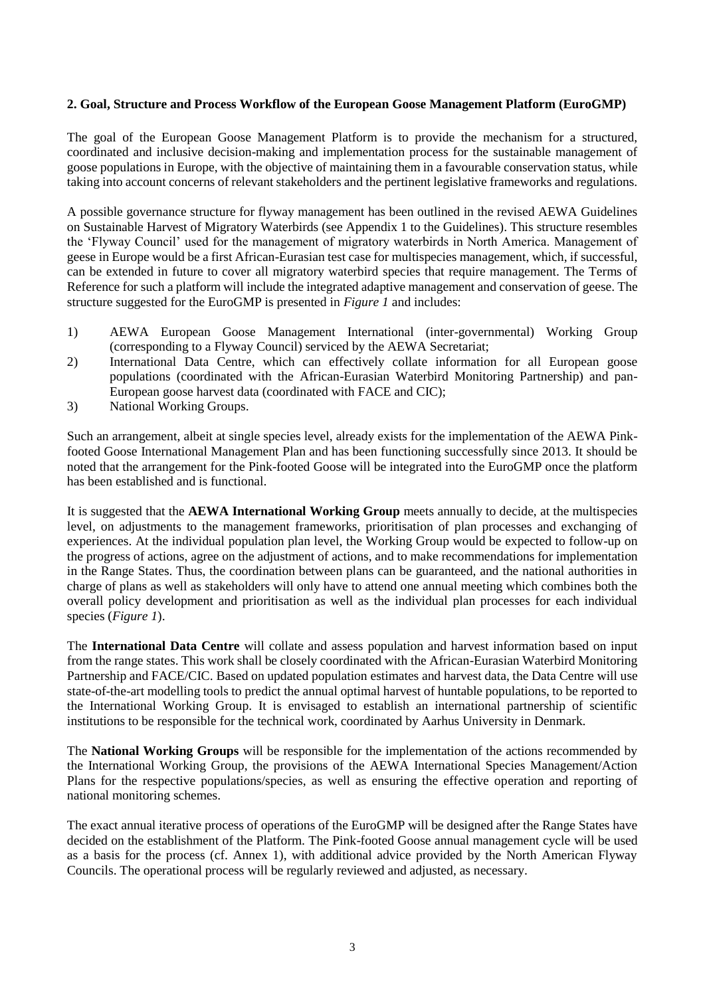#### <span id="page-3-0"></span>**2. Goal, Structure and Process Workflow of the European Goose Management Platform (EuroGMP)**

The goal of the European Goose Management Platform is to provide the mechanism for a structured, coordinated and inclusive decision-making and implementation process for the sustainable management of goose populations in Europe, with the objective of maintaining them in a favourable conservation status, while taking into account concerns of relevant stakeholders and the pertinent legislative frameworks and regulations.

A possible governance structure for flyway management has been outlined in the revised AEWA Guidelines on Sustainable Harvest of Migratory Waterbirds (see Appendix 1 to the Guidelines). This structure resembles the 'Flyway Council' used for the management of migratory waterbirds in North America. Management of geese in Europe would be a first African-Eurasian test case for multispecies management, which, if successful, can be extended in future to cover all migratory waterbird species that require management. The Terms of Reference for such a platform will include the integrated adaptive management and conservation of geese. The structure suggested for the EuroGMP is presented in *Figure 1* and includes:

- 1) AEWA European Goose Management International (inter-governmental) Working Group (corresponding to a Flyway Council) serviced by the AEWA Secretariat;
- 2) International Data Centre, which can effectively collate information for all European goose populations (coordinated with the African-Eurasian Waterbird Monitoring Partnership) and pan-European goose harvest data (coordinated with FACE and CIC);
- 3) National Working Groups.

Such an arrangement, albeit at single species level, already exists for the implementation of the AEWA Pinkfooted Goose International Management Plan and has been functioning successfully since 2013. It should be noted that the arrangement for the Pink-footed Goose will be integrated into the EuroGMP once the platform has been established and is functional.

It is suggested that the **AEWA International Working Group** meets annually to decide, at the multispecies level, on adjustments to the management frameworks, prioritisation of plan processes and exchanging of experiences. At the individual population plan level, the Working Group would be expected to follow-up on the progress of actions, agree on the adjustment of actions, and to make recommendations for implementation in the Range States. Thus, the coordination between plans can be guaranteed, and the national authorities in charge of plans as well as stakeholders will only have to attend one annual meeting which combines both the overall policy development and prioritisation as well as the individual plan processes for each individual species (*Figure 1*).

The **International Data Centre** will collate and assess population and harvest information based on input from the range states. This work shall be closely coordinated with the African-Eurasian Waterbird Monitoring Partnership and FACE/CIC. Based on updated population estimates and harvest data, the Data Centre will use state-of-the-art modelling tools to predict the annual optimal harvest of huntable populations, to be reported to the International Working Group. It is envisaged to establish an international partnership of scientific institutions to be responsible for the technical work, coordinated by Aarhus University in Denmark.

The **National Working Groups** will be responsible for the implementation of the actions recommended by the International Working Group, the provisions of the AEWA International Species Management/Action Plans for the respective populations/species, as well as ensuring the effective operation and reporting of national monitoring schemes.

The exact annual iterative process of operations of the EuroGMP will be designed after the Range States have decided on the establishment of the Platform. The Pink-footed Goose annual management cycle will be used as a basis for the process (cf. Annex 1), with additional advice provided by the North American Flyway Councils. The operational process will be regularly reviewed and adjusted, as necessary.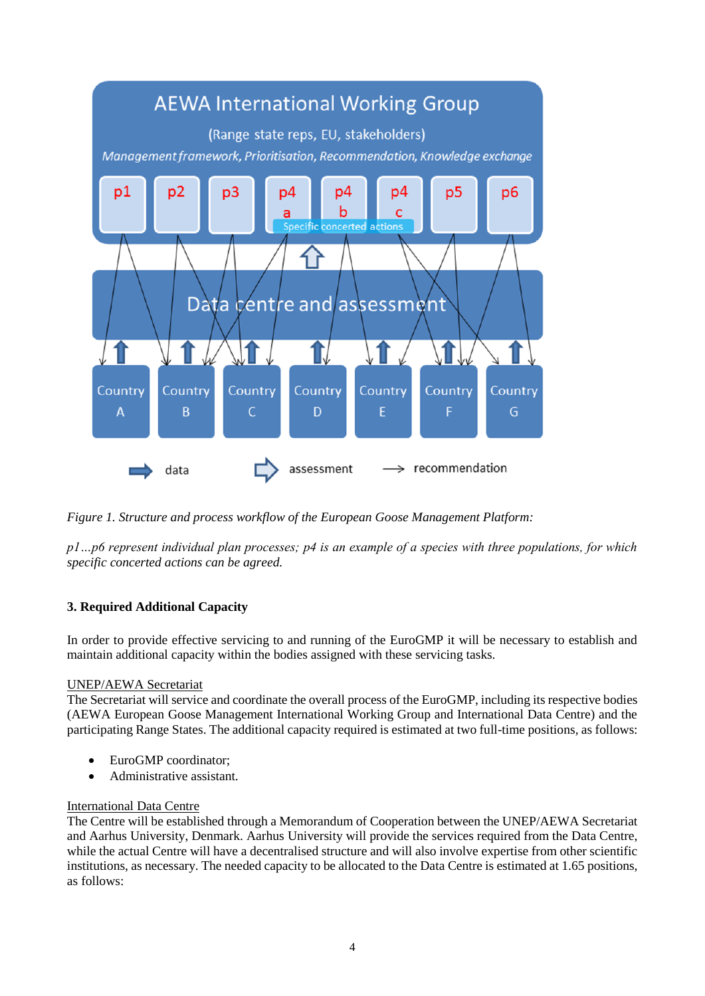

*Figure 1. Structure and process workflow of the European Goose Management Platform:* 

*p1…p6 represent individual plan processes; p4 is an example of a species with three populations, for which specific concerted actions can be agreed.*

#### <span id="page-4-0"></span>**3. Required Additional Capacity**

In order to provide effective servicing to and running of the EuroGMP it will be necessary to establish and maintain additional capacity within the bodies assigned with these servicing tasks.

#### UNEP/AEWA Secretariat

The Secretariat will service and coordinate the overall process of the EuroGMP, including its respective bodies (AEWA European Goose Management International Working Group and International Data Centre) and the participating Range States. The additional capacity required is estimated at two full-time positions, as follows:

- EuroGMP coordinator;
- Administrative assistant.

#### International Data Centre

The Centre will be established through a Memorandum of Cooperation between the UNEP/AEWA Secretariat and Aarhus University, Denmark. Aarhus University will provide the services required from the Data Centre, while the actual Centre will have a decentralised structure and will also involve expertise from other scientific institutions, as necessary. The needed capacity to be allocated to the Data Centre is estimated at 1.65 positions, as follows: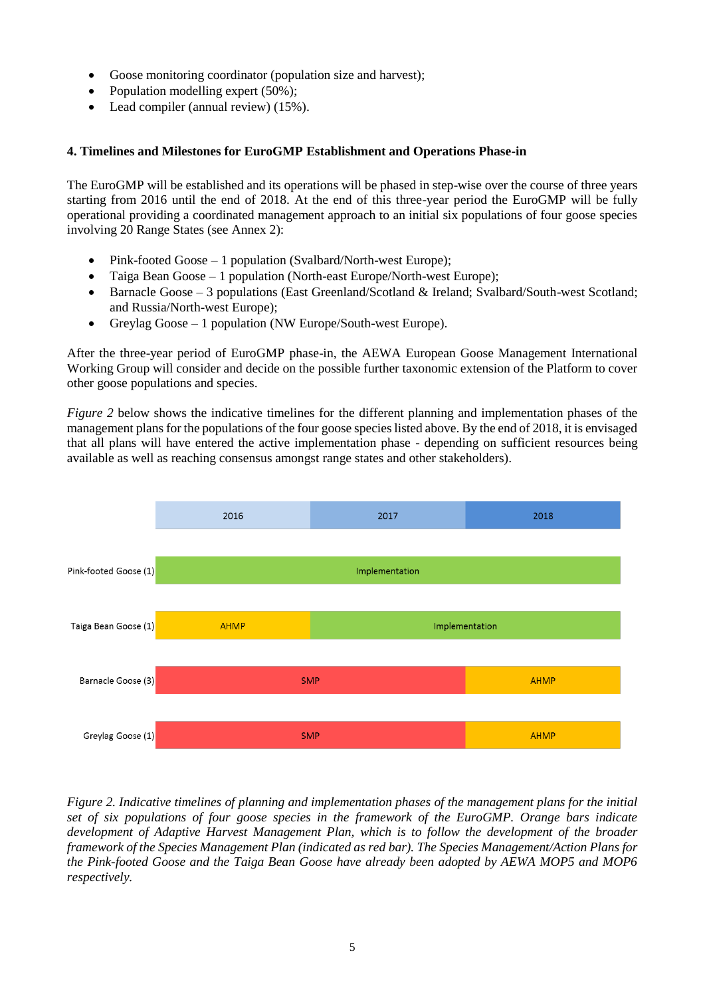- Goose monitoring coordinator (population size and harvest);
- Population modelling expert (50%);
- Lead compiler (annual review) (15%).

#### <span id="page-5-0"></span>**4. Timelines and Milestones for EuroGMP Establishment and Operations Phase-in**

The EuroGMP will be established and its operations will be phased in step-wise over the course of three years starting from 2016 until the end of 2018. At the end of this three-year period the EuroGMP will be fully operational providing a coordinated management approach to an initial six populations of four goose species involving 20 Range States (see Annex 2):

- Pink-footed Goose 1 population (Svalbard/North-west Europe);
- Taiga Bean Goose 1 population (North-east Europe/North-west Europe);
- Barnacle Goose 3 populations (East Greenland/Scotland & Ireland; Svalbard/South-west Scotland; and Russia/North-west Europe);
- Greylag Goose 1 population (NW Europe/South-west Europe).

After the three-year period of EuroGMP phase-in, the AEWA European Goose Management International Working Group will consider and decide on the possible further taxonomic extension of the Platform to cover other goose populations and species.

*Figure 2* below shows the indicative timelines for the different planning and implementation phases of the management plans for the populations of the four goose species listed above. By the end of 2018, it is envisaged that all plans will have entered the active implementation phase - depending on sufficient resources being available as well as reaching consensus amongst range states and other stakeholders).



*Figure 2. Indicative timelines of planning and implementation phases of the management plans for the initial set of six populations of four goose species in the framework of the EuroGMP. Orange bars indicate development of Adaptive Harvest Management Plan, which is to follow the development of the broader framework of the Species Management Plan (indicated as red bar). The Species Management/Action Plans for the Pink-footed Goose and the Taiga Bean Goose have already been adopted by AEWA MOP5 and MOP6 respectively.*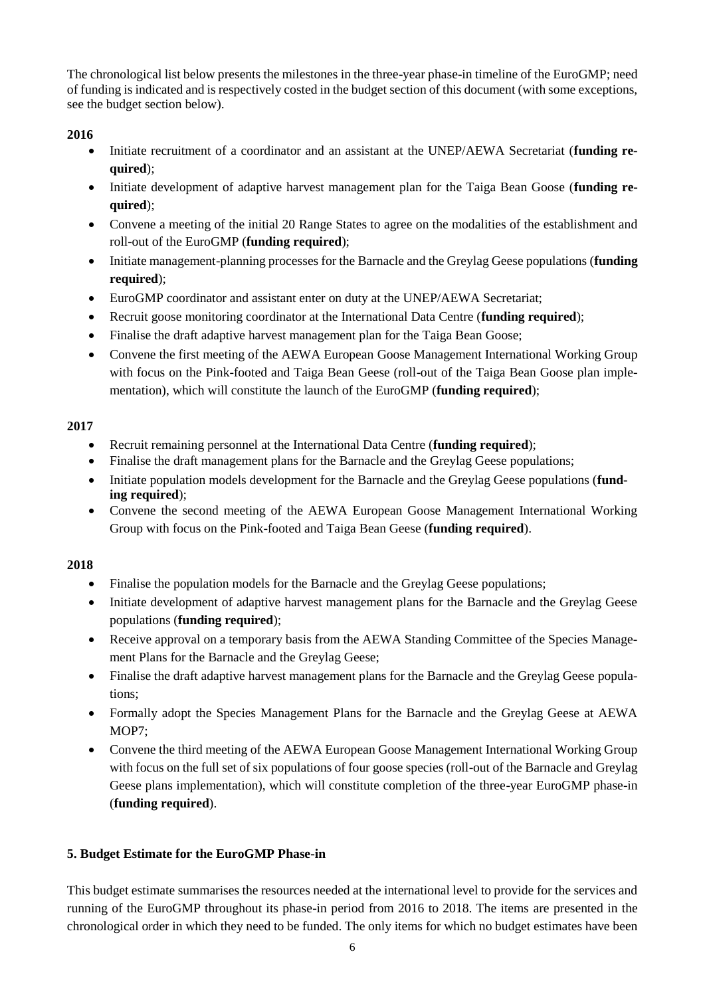The chronological list below presents the milestones in the three-year phase-in timeline of the EuroGMP; need of funding is indicated and is respectively costed in the budget section of this document (with some exceptions, see the budget section below).

## **2016**

- Initiate recruitment of a coordinator and an assistant at the UNEP/AEWA Secretariat (**funding required**);
- Initiate development of adaptive harvest management plan for the Taiga Bean Goose (**funding required**);
- Convene a meeting of the initial 20 Range States to agree on the modalities of the establishment and roll-out of the EuroGMP (**funding required**);
- Initiate management-planning processes for the Barnacle and the Greylag Geese populations (**funding required**);
- EuroGMP coordinator and assistant enter on duty at the UNEP/AEWA Secretariat;
- Recruit goose monitoring coordinator at the International Data Centre (**funding required**);
- Finalise the draft adaptive harvest management plan for the Taiga Bean Goose;
- Convene the first meeting of the AEWA European Goose Management International Working Group with focus on the Pink-footed and Taiga Bean Geese (roll-out of the Taiga Bean Goose plan implementation), which will constitute the launch of the EuroGMP (**funding required**);

## **2017**

- Recruit remaining personnel at the International Data Centre (**funding required**);
- Finalise the draft management plans for the Barnacle and the Greylag Geese populations;
- Initiate population models development for the Barnacle and the Greylag Geese populations (**funding required**);
- Convene the second meeting of the AEWA European Goose Management International Working Group with focus on the Pink-footed and Taiga Bean Geese (**funding required**).

#### **2018**

- Finalise the population models for the Barnacle and the Greylag Geese populations;
- Initiate development of adaptive harvest management plans for the Barnacle and the Greylag Geese populations (**funding required**);
- Receive approval on a temporary basis from the AEWA Standing Committee of the Species Management Plans for the Barnacle and the Greylag Geese;
- Finalise the draft adaptive harvest management plans for the Barnacle and the Greylag Geese populations;
- Formally adopt the Species Management Plans for the Barnacle and the Greylag Geese at AEWA MOP7;
- Convene the third meeting of the AEWA European Goose Management International Working Group with focus on the full set of six populations of four goose species (roll-out of the Barnacle and Greylag Geese plans implementation), which will constitute completion of the three-year EuroGMP phase-in (**funding required**).

#### <span id="page-6-0"></span>**5. Budget Estimate for the EuroGMP Phase-in**

This budget estimate summarises the resources needed at the international level to provide for the services and running of the EuroGMP throughout its phase-in period from 2016 to 2018. The items are presented in the chronological order in which they need to be funded. The only items for which no budget estimates have been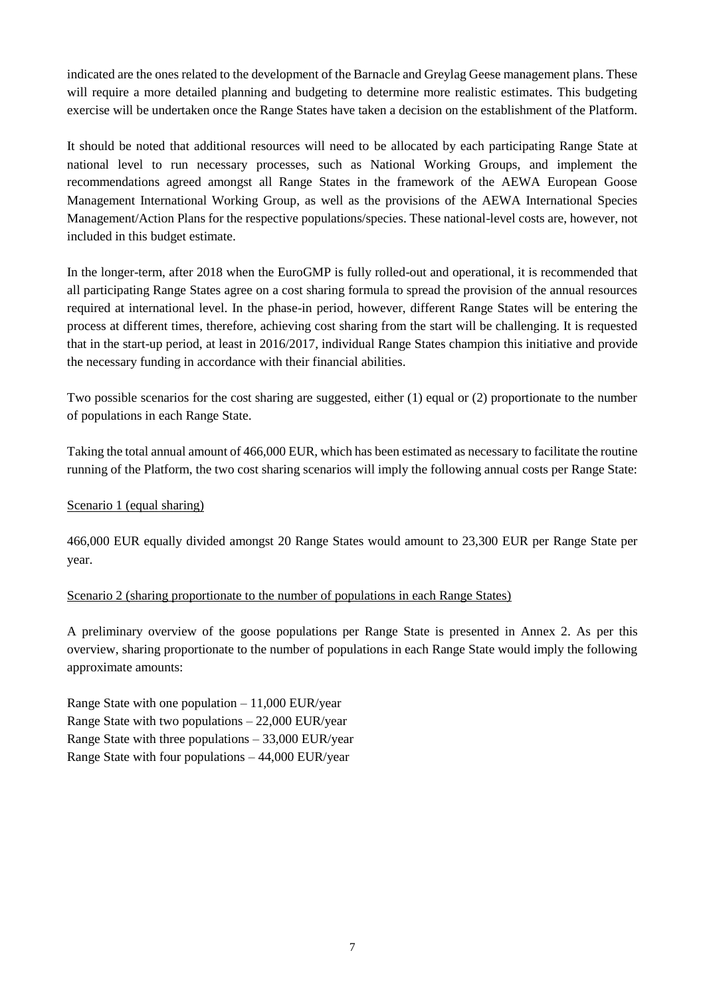indicated are the ones related to the development of the Barnacle and Greylag Geese management plans. These will require a more detailed planning and budgeting to determine more realistic estimates. This budgeting exercise will be undertaken once the Range States have taken a decision on the establishment of the Platform.

It should be noted that additional resources will need to be allocated by each participating Range State at national level to run necessary processes, such as National Working Groups, and implement the recommendations agreed amongst all Range States in the framework of the AEWA European Goose Management International Working Group, as well as the provisions of the AEWA International Species Management/Action Plans for the respective populations/species. These national-level costs are, however, not included in this budget estimate.

In the longer-term, after 2018 when the EuroGMP is fully rolled-out and operational, it is recommended that all participating Range States agree on a cost sharing formula to spread the provision of the annual resources required at international level. In the phase-in period, however, different Range States will be entering the process at different times, therefore, achieving cost sharing from the start will be challenging. It is requested that in the start-up period, at least in 2016/2017, individual Range States champion this initiative and provide the necessary funding in accordance with their financial abilities.

Two possible scenarios for the cost sharing are suggested, either (1) equal or (2) proportionate to the number of populations in each Range State.

Taking the total annual amount of 466,000 EUR, which has been estimated as necessary to facilitate the routine running of the Platform, the two cost sharing scenarios will imply the following annual costs per Range State:

#### Scenario 1 (equal sharing)

466,000 EUR equally divided amongst 20 Range States would amount to 23,300 EUR per Range State per year.

#### Scenario 2 (sharing proportionate to the number of populations in each Range States)

A preliminary overview of the goose populations per Range State is presented in Annex 2. As per this overview, sharing proportionate to the number of populations in each Range State would imply the following approximate amounts:

Range State with one population  $-11,000$  EUR/year Range State with two populations – 22,000 EUR/year Range State with three populations – 33,000 EUR/year Range State with four populations – 44,000 EUR/year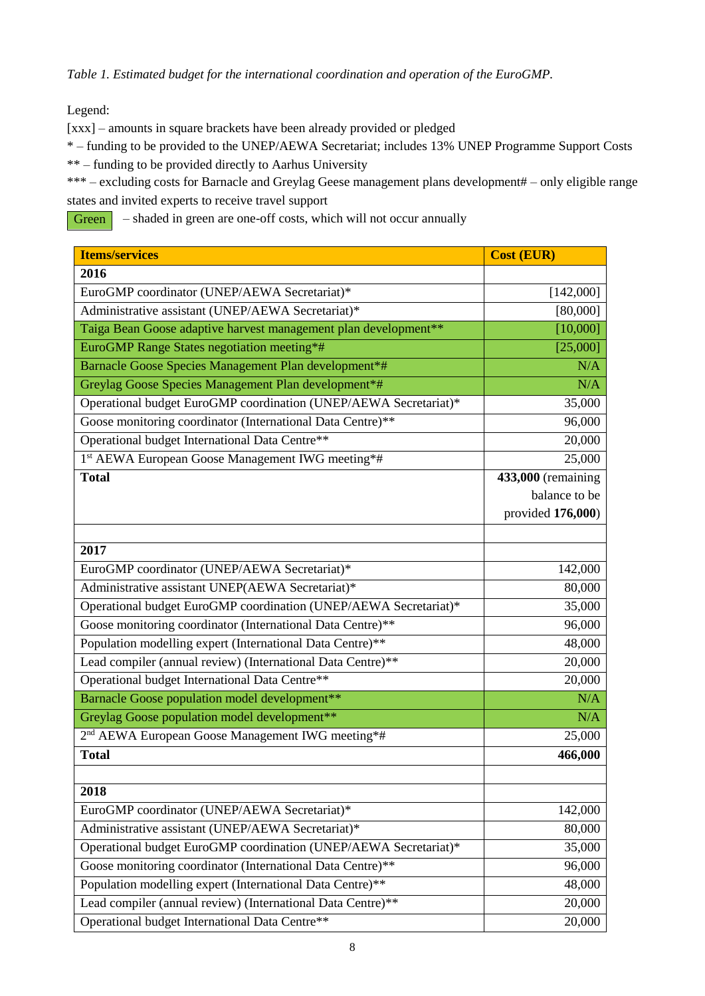*Table 1. Estimated budget for the international coordination and operation of the EuroGMP.*

Legend:

[xxx] – amounts in square brackets have been already provided or pledged

\* – funding to be provided to the UNEP/AEWA Secretariat; includes 13% UNEP Programme Support Costs

\*\* – funding to be provided directly to Aarhus University

\*\*\* – excluding costs for Barnacle and Greylag Geese management plans development# – only eligible range states and invited experts to receive travel support

– shaded in green are one-off costs, which will not occur annually **Green** 

| <b>Items/services</b>                                            | <b>Cost (EUR)</b>  |
|------------------------------------------------------------------|--------------------|
| 2016                                                             |                    |
| EuroGMP coordinator (UNEP/AEWA Secretariat)*                     | [142,000]          |
| Administrative assistant (UNEP/AEWA Secretariat)*                | [80,000]           |
| Taiga Bean Goose adaptive harvest management plan development**  | [10,000]           |
| EuroGMP Range States negotiation meeting*#                       | [25,000]           |
| Barnacle Goose Species Management Plan development*#             | N/A                |
| Greylag Goose Species Management Plan development*#              | N/A                |
| Operational budget EuroGMP coordination (UNEP/AEWA Secretariat)* | 35,000             |
| Goose monitoring coordinator (International Data Centre)**       | 96,000             |
| Operational budget International Data Centre**                   | 20,000             |
| 1st AEWA European Goose Management IWG meeting*#                 | 25,000             |
| <b>Total</b>                                                     | 433,000 (remaining |
|                                                                  | balance to be      |
|                                                                  | provided 176,000)  |
|                                                                  |                    |
| 2017                                                             |                    |
| EuroGMP coordinator (UNEP/AEWA Secretariat)*                     | 142,000            |
| Administrative assistant UNEP(AEWA Secretariat)*                 | 80,000             |
| Operational budget EuroGMP coordination (UNEP/AEWA Secretariat)* | 35,000             |
| Goose monitoring coordinator (International Data Centre)**       | 96,000             |
| Population modelling expert (International Data Centre)**        | 48,000             |
| Lead compiler (annual review) (International Data Centre)**      | 20,000             |
| Operational budget International Data Centre**                   | 20,000             |
| Barnacle Goose population model development**                    | N/A                |
| Greylag Goose population model development**                     | N/A                |
| 2 <sup>nd</sup> AEWA European Goose Management IWG meeting*#     | 25,000             |
| <b>Total</b>                                                     | 466,000            |
|                                                                  |                    |
| 2018                                                             |                    |
| EuroGMP coordinator (UNEP/AEWA Secretariat)*                     | 142,000            |
| Administrative assistant (UNEP/AEWA Secretariat)*                | 80,000             |
| Operational budget EuroGMP coordination (UNEP/AEWA Secretariat)* | 35,000             |
| Goose monitoring coordinator (International Data Centre)**       | 96,000             |
| Population modelling expert (International Data Centre)**        | 48,000             |
| Lead compiler (annual review) (International Data Centre)**      | 20,000             |
| Operational budget International Data Centre**                   | 20,000             |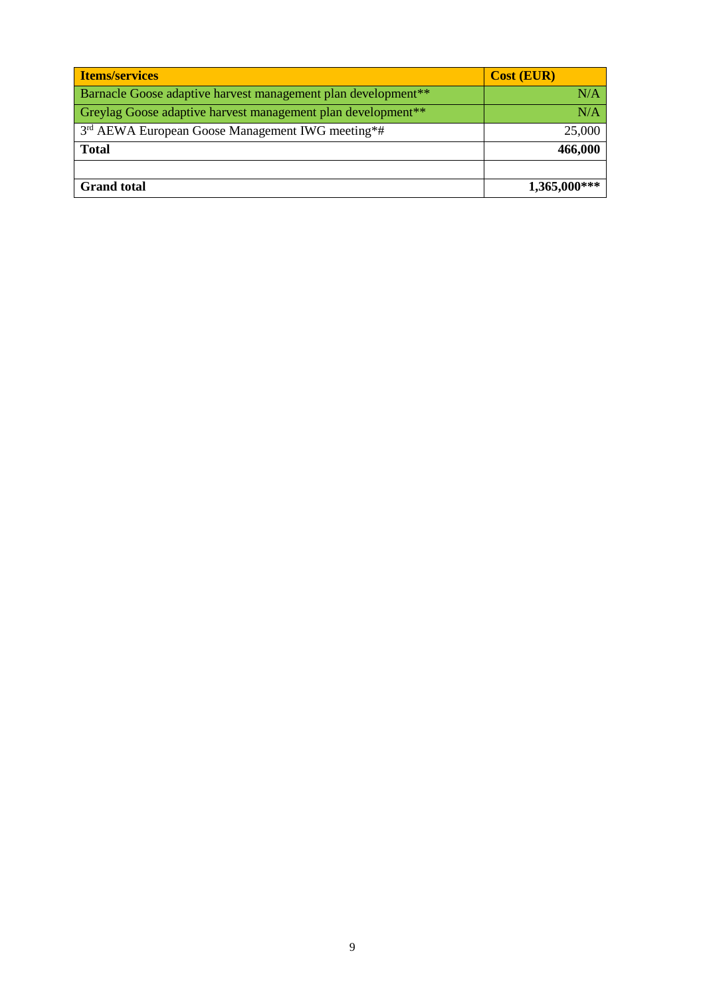| <b>Items/services</b>                                                     | <b>Cost (EUR)</b> |
|---------------------------------------------------------------------------|-------------------|
| Barnacle Goose adaptive harvest management plan development <sup>**</sup> | N/A               |
| Greylag Goose adaptive harvest management plan development <sup>**</sup>  | N/A               |
| 3 <sup>rd</sup> AEWA European Goose Management IWG meeting*#              | 25,000            |
| <b>Total</b>                                                              | 466,000           |
|                                                                           |                   |
| <b>Grand</b> total                                                        | $1,365,000***$    |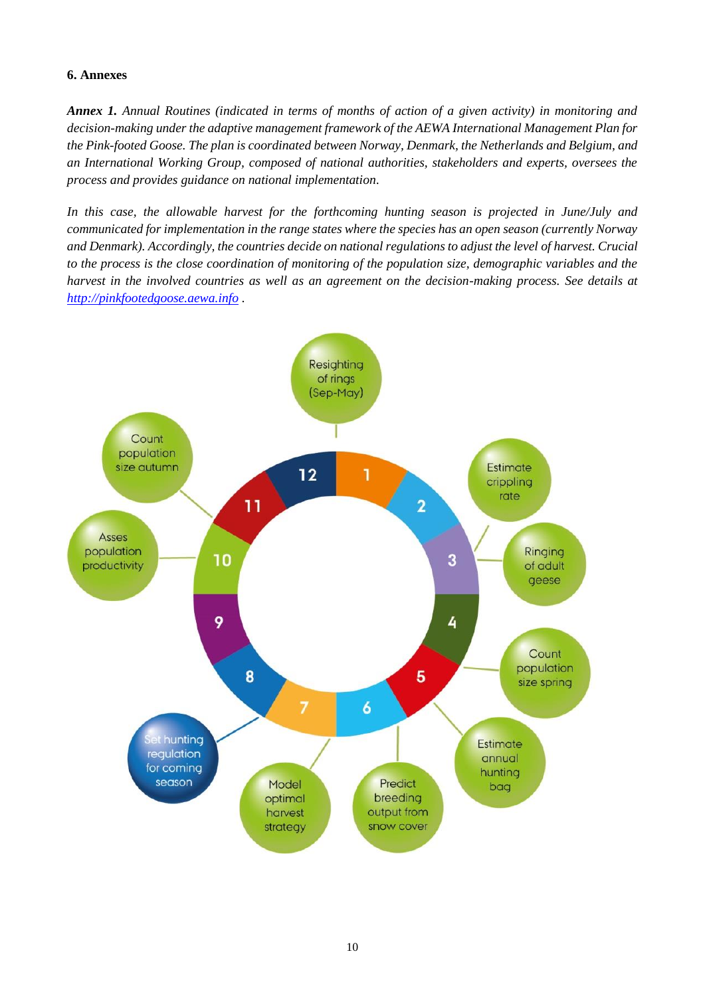#### <span id="page-10-0"></span>**6. Annexes**

*Annex 1. Annual Routines (indicated in terms of months of action of a given activity) in monitoring and decision-making under the adaptive management framework of the AEWA International Management Plan for the Pink-footed Goose. The plan is coordinated between Norway, Denmark, the Netherlands and Belgium, and an International Working Group, composed of national authorities, stakeholders and experts, oversees the process and provides guidance on national implementation.* 

*In this case, the allowable harvest for the forthcoming hunting season is projected in June/July and communicated for implementation in the range states where the species has an open season (currently Norway and Denmark). Accordingly, the countries decide on national regulations to adjust the level of harvest. Crucial to the process is the close coordination of monitoring of the population size, demographic variables and the harvest in the involved countries as well as an agreement on the decision-making process. See details at [http://pinkfootedgoose.aewa.info](http://pinkfootedgoose.aewa.info/) .*